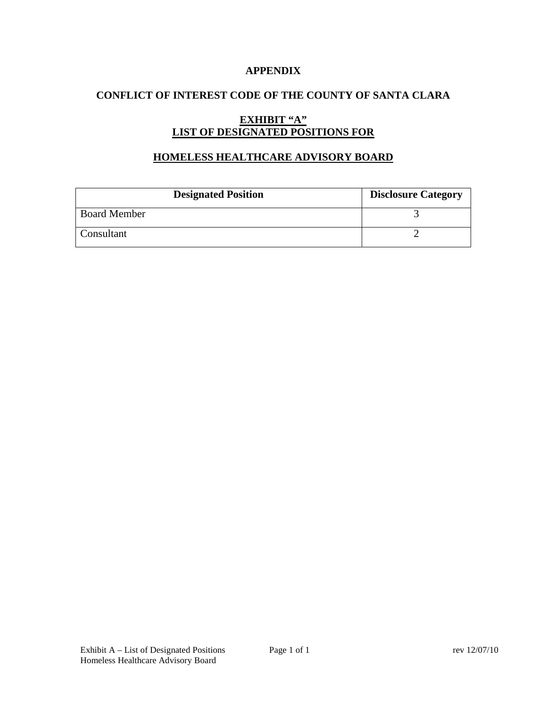# **APPENDIX**

# **CONFLICT OF INTEREST CODE OF THE COUNTY OF SANTA CLARA**

# **EXHIBIT "A" LIST OF DESIGNATED POSITIONS FOR**

## **HOMELESS HEALTHCARE ADVISORY BOARD**

| <b>Designated Position</b> | <b>Disclosure Category</b> |
|----------------------------|----------------------------|
| <b>Board Member</b>        |                            |
| Consultant                 |                            |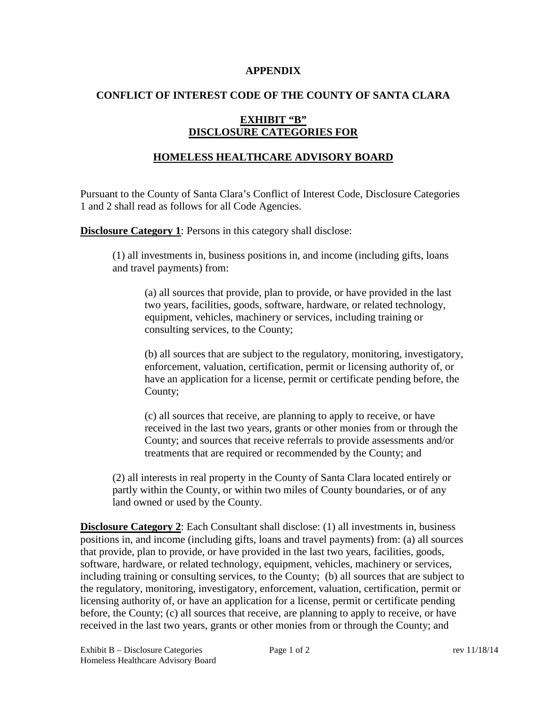#### **APPENDIX**

## **CONFLICT OF INTEREST CODE OF THE COUNTY OF SANTA CLARA**

# **EXHIBIT "B" DISCLOSURE CATEGORIES FOR**

# **HOMELESS HEALTHCARE ADVISORY BOARD**

Pursuant to the County of Santa Clara's Conflict of Interest Code, Disclosure Categories 1 and 2 shall read as follows for all Code Agencies.

**Disclosure Category 1:** Persons in this category shall disclose:

(1) all investments in, business positions in, and income (including gifts, loans and travel payments) from:

(a) all sources that provide, plan to provide, or have provided in the last two years, facilities, goods, software, hardware, or related technology, equipment, vehicles, machinery or services, including training or consulting services, to the County;

(b) all sources that are subject to the regulatory, monitoring, investigatory, enforcement, valuation, certification, permit or licensing authority of, or have an application for a license, permit or certificate pending before, the County;

(c) all sources that receive, are planning to apply to receive, or have received in the last two years, grants or other monies from or through the County; and sources that receive referrals to provide assessments and/or treatments that are required or recommended by the County; and

(2) all interests in real property in the County of Santa Clara located entirely or partly within the County, or within two miles of County boundaries, or of any land owned or used by the County.

**Disclosure Category 2:** Each Consultant shall disclose: (1) all investments in, business positions in, and income (including gifts, loans and travel payments) from: (a) all sources that provide, plan to provide, or have provided in the last two years, facilities, goods, software, hardware, or related technology, equipment, vehicles, machinery or services, including training or consulting services, to the County; (b) all sources that are subject to the regulatory, monitoring, investigatory, enforcement, valuation, certification, permit or licensing authority of, or have an application for a license, permit or certificate pending before, the County; (c) all sources that receive, are planning to apply to receive, or have received in the last two years, grants or other monies from or through the County; and